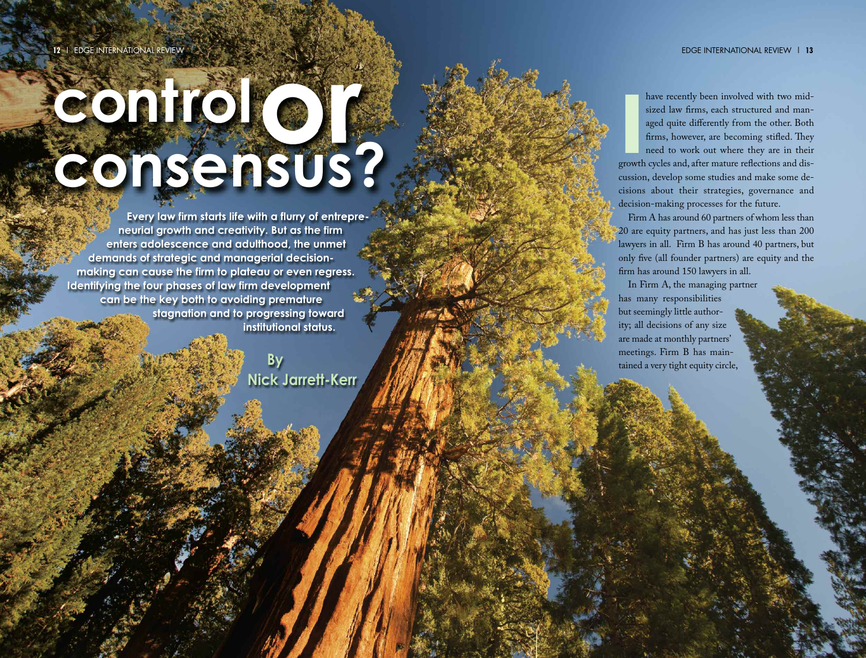# **contro r c o n s e n s u s ?**

Every law firm starts life with a flurry of entrepreneurial growth and creativity. But as the firm enters adolescence and adulthood, the unmet demands of strategic and managerial decisionmaking can cause the firm to plateau or even regress. Identifying the four phases of law firm development can be the key both to avoiding premature stagnation and to progressing toward institutional status.

> **B y Nick Jarrett-Kerr**

**I**<br>growth have recently been involved with two midsized law firms, each structured and managed quite differently from the other. Both firms, however, are becoming stifled. They need to work out where they are in their growth cycles and, after mature reflections and discussion, develop some studies and make some decisions about their strategies, governance and decision-making processes for the future.

Firm A has around 60 partners of whom less than 20 are equity partners, and has just less than 200 lawyers in all. Firm B has around 40 partners, but only five (all founder partners) are equity and the firm has around 150 lawyers in all.

In Firm A, the managing partner has many responsibilities but seemingly little authority; all decisions of any size are made at monthly partners ' meetings. Firm B has maintained a very tight equity circle,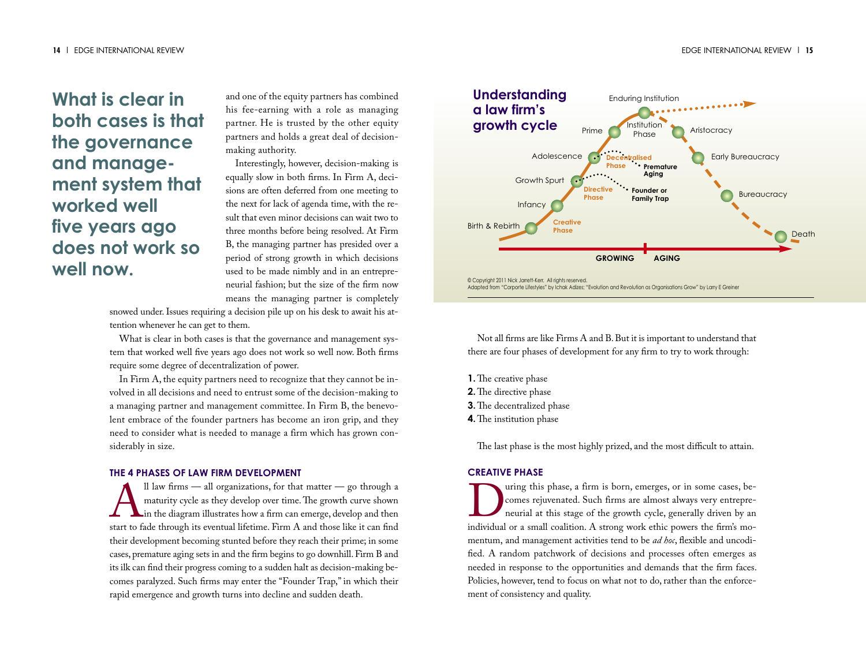# **What is clear in both cases is that the governance and management system that worked well five years ago does not work so well now.**

and one of the equity partners has combined his fee-earning with a role as managing partner. He is trusted by the other equity partners and holds a great deal of decisionmaking authority.

Interestingly, however, decision-making is equally slow in both firms. In Firm A, decisions are often deferred from one meeting to the next for lack of agenda time, with the result that even minor decisions can wait two to three months before being resolved. At Firm B, the managing partner has presided over a period of strong growth in which decisions used to be made nimbly and in an entrepreneurial fashion; but the size of the firm now means the managing partner is completely

snowed under.Issues requiring a decision pile up on his desk to await his attention whenever he can get to them.

What is clear in both cases is that the governance and management system that worked well five years ago does not work so well now. Both firms require some degree of decentralization of power.

In Firm A, the equity partners need to recognize that they cannot be involved in all decisions and need to entrust some of the decision-making to a managing partner and management committee. In Firm B, the benevolent embrace of the founder partners has become an iron grip, and they need to consider what is needed to manage a firm which has grown considerably in size.

#### **THE 4 PHASES OF LAW FIRM DEVELOPMENT**

 $\sum_{n=1}^{\infty}$ ll law firms — all organizations, for that matter — go through a maturity cycle as they develop over time. The growth curve shown in the diagram illustrates how a firm can emerge, develop and then start to f maturity cycle as they develop over time. The growth curve shown in the diagram illustrates how a firm can emerge, develop and then start to fade through its eventual lifetime. Firm A and those like it can find their development becoming stunted before they reach their prime; in some cases, premature aging sets in and the firm begins to go downhill.Firm B and its ilk can find their progress coming to a sudden halt as decision-making becomes paralyzed. Such firms may enter the "Founder Trap," in which their rapid emergence and growth turns into decline and sudden death.



Not all firms are like Firms A and B.But it is important to understand that there are four phases of development for any firm to try to work through:

- **1.** The creative phase
- **2.** The directive phase
- **3.** The decentralized phase
- **4.** The institution phase

The last phase is the most highly prized, and the most difficult to attain.

### **CREATIVE PHASE**

Using this phase, a firm is born, emerges, or in some cases, be-<br>comes rejuvenated. Such firms are almost always very entrepre-<br>neurial at this stage of the growth cycle, generally driven by an<br>individual or a small coalit comes rejuvenated. Such firms are almost always very entrepreneurial at this stage of the growth cycle, generally driven by an mentum, and management activities tend to be *ad hoc*, flexible and uncodified. A random patchwork of decisions and processes often emerges as needed in response to the opportunities and demands that the firm faces. Policies, however, tend to focus on what not to do, rather than the enforcement of consistency and quality.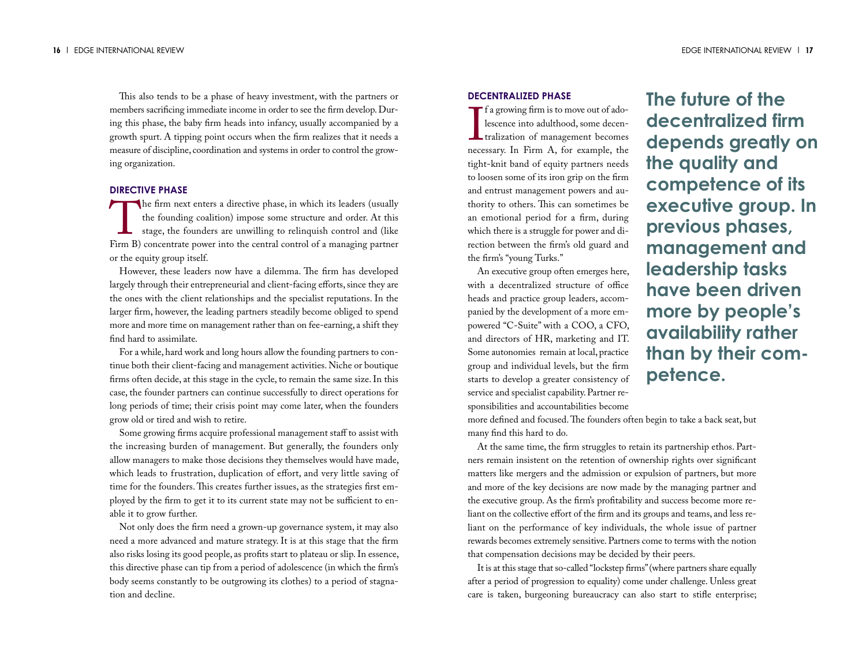This also tends to be a phase of heavy investment, with the partners or members sacrificing immediate income in order to see the firm develop. During this phase, the baby firm heads into infancy, usually accompanied by a growth spurt. A tipping point occurs when the firm realizes that it needs a measure of discipline, coordination and systems in order to control the growing organization.

#### **DIRECTIVE PHASE**

The firm next enters a directive phase, in which its leaders (usually<br>the founding coalition) impose some structure and order. At this<br>stage, the founders are unwilling to relinquish control and (like<br>Firm B) concentrate n the founding coalition) impose some structure and order. At this stage, the founders are unwilling to relinquish control and (like Firm B) concentrate power into the central control of a managing partner or the equity group itself.

However, these leaders now have a dilemma. The firm has developed largely through their entrepreneurial and client-facing efforts, since they are the ones with the client relationships and the specialist reputations. In the larger firm, however, the leading partners steadily become obliged to spend more and more time on management rather than on fee-earning, a shift they find hard to assimilate.

For a while, hard work and long hours allow the founding partners to continue both their client-facing and management activities. Niche or boutique firms often decide, at this stage in the cycle, to remain the same size.In this case, the founder partners can continue successfully to direct operations for long periods of time; their crisis point may come later, when the founders grow old or tired and wish to retire.

Some growing firms acquire professional management staff to assist with the increasing burden of management. But generally, the founders only allow managers to make those decisions they themselves would have made, which leads to frustration, duplication of effort, and very little saving of time for the founders. This creates further issues, as the strategies first employed by the firm to get it to its current state may not be sufficient to enable it to grow further.

Not only does the firm need a grown-up governance system, it may also need a more advanced and mature strategy. It is at this stage that the firm also risks losing its good people, as profits start to plateau or slip.In essence, this directive phase can tip from a period of adolescence (in which the firm's body seems constantly to be outgrowing its clothes) to a period of stagnation and decline.

### **DECENTRALIZED PHASE**

 $\prod_{n\in\mathbb{C}}$ **f** a growing firm is to move out of adolescence into adulthood, some decentralization of management becomes necessary. In Firm A, for example, the tight-knit band of equity partners needs to loosen some of its iron grip on the firm and entrust management powers and authority to others. This can sometimes be an emotional period for a firm, during which there is a struggle for power and direction between the firm's old guard and the firm's "young Turks."

An executive group often emerges here, with a decentralized structure of office heads and practice group leaders, accompanied by the development of a more empowered "C-Suite" with a COO, a CFO, and directors of HR, marketing and IT. Some autonomies remain at local, practice group and individual levels, but the firm starts to develop a greater consistency of service and specialist capability.Partner responsibilities and accountabilities become

**The future of the decentralized firm depends greatly on the quality and competence of its executive group. In previous phases, management and leadership tasks have been driven more by people's availability rather than by their competence.**

more defined and focused. The founders often begin to take a back seat, but many find this hard to do.

At the same time, the firm struggles to retain its partnership ethos. Partners remain insistent on the retention of ownership rights over significant matters like mergers and the admission or expulsion of partners, but more and more of the key decisions are now made by the managing partner and the executive group. As the firm's profitability and success become more reliant on the collective effort of the firm and its groups and teams, and less reliant on the performance of key individuals, the whole issue of partner rewards becomes extremely sensitive.Partners come to terms with the notion that compensation decisions may be decided by their peers.

It is at this stage that so-called "lockstep firms"(where partners share equally after a period of progression to equality) come under challenge. Unless great care is taken, burgeoning bureaucracy can also start to stifle enterprise;